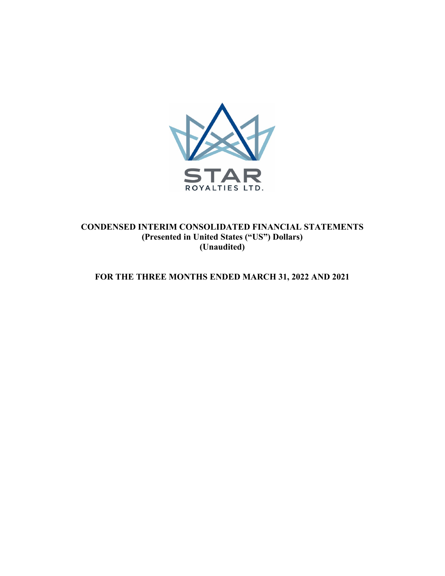

# **CONDENSED INTERIM CONSOLIDATED FINANCIAL STATEMENTS (Presented in United States ("US") Dollars) (Unaudited)**

# **FOR THE THREE MONTHS ENDED MARCH 31, 2022 AND 2021**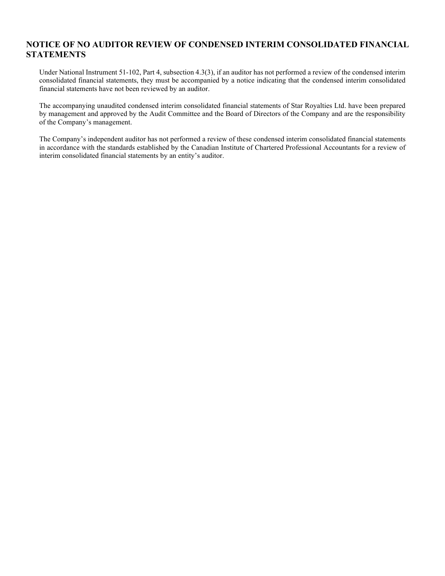# **NOTICE OF NO AUDITOR REVIEW OF CONDENSED INTERIM CONSOLIDATED FINANCIAL STATEMENTS**

Under National Instrument 51-102, Part 4, subsection 4.3(3), if an auditor has not performed a review of the condensed interim consolidated financial statements, they must be accompanied by a notice indicating that the condensed interim consolidated financial statements have not been reviewed by an auditor.

The accompanying unaudited condensed interim consolidated financial statements of Star Royalties Ltd. have been prepared by management and approved by the Audit Committee and the Board of Directors of the Company and are the responsibility of the Company's management.

The Company's independent auditor has not performed a review of these condensed interim consolidated financial statements in accordance with the standards established by the Canadian Institute of Chartered Professional Accountants for a review of interim consolidated financial statements by an entity's auditor.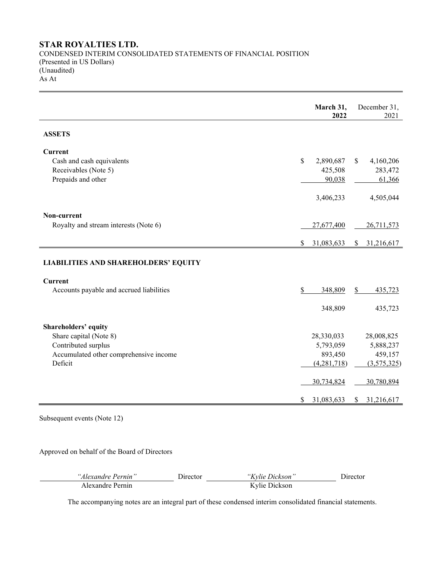# **STAR ROYALTIES LTD.**

CONDENSED INTERIM CONSOLIDATED STATEMENTS OF FINANCIAL POSITION (Presented in US Dollars) (Unaudited) As At

|                                             |               | March 31,<br>2022 |               | December 31,<br>2021 |
|---------------------------------------------|---------------|-------------------|---------------|----------------------|
| <b>ASSETS</b>                               |               |                   |               |                      |
| <b>Current</b>                              |               |                   |               |                      |
| Cash and cash equivalents                   | $\mathbf S$   | 2,890,687         | <sup>\$</sup> | 4,160,206            |
| Receivables (Note 5)<br>Prepaids and other  |               | 425,508<br>90,038 |               | 283,472<br>61,366    |
|                                             |               |                   |               |                      |
|                                             |               | 3,406,233         |               | 4,505,044            |
| Non-current                                 |               |                   |               |                      |
| Royalty and stream interests (Note 6)       |               | 27,677,400        |               | 26,711,573           |
|                                             | <sup>\$</sup> | 31,083,633        | \$            | 31,216,617           |
| <b>LIABILITIES AND SHAREHOLDERS' EQUITY</b> |               |                   |               |                      |
| <b>Current</b>                              |               |                   |               |                      |
| Accounts payable and accrued liabilities    | \$            | 348,809           | \$            | 435,723              |
|                                             |               | 348,809           |               | 435,723              |
| Shareholders' equity                        |               |                   |               |                      |
| Share capital (Note 8)                      |               | 28,330,033        |               | 28,008,825           |
| Contributed surplus                         |               | 5,793,059         |               | 5,888,237            |
| Accumulated other comprehensive income      |               | 893,450           |               | 459,157              |
| Deficit                                     |               | (4,281,718)       |               | (3,575,325)          |
|                                             |               | 30,734,824        |               | 30,780,894           |
|                                             | \$            | 31,083,633        | S             | 31,216,617           |

Subsequent events (Note 12)

Approved on behalf of the Board of Directors

| "Alexandre Pernin" | Jirector | <i>"Kylie Dickson"</i> | Jirector |
|--------------------|----------|------------------------|----------|
| Alexandre Pernin.  |          | Kylie Dickson          |          |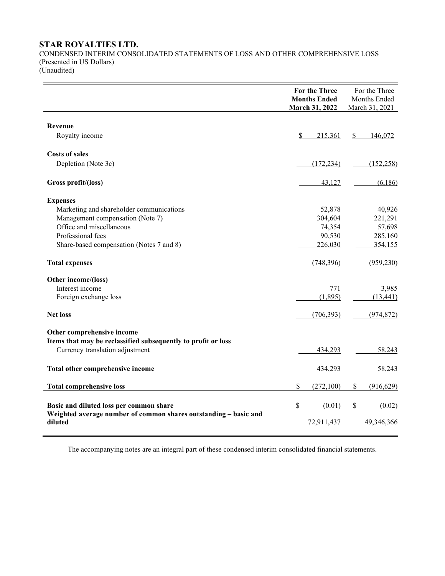# **STAR ROYALTIES LTD.**

CONDENSED INTERIM CONSOLIDATED STATEMENTS OF LOSS AND OTHER COMPREHENSIVE LOSS (Presented in US Dollars) (Unaudited)

|                                                                                                  | For the Three<br><b>Months Ended</b><br>March 31, 2022 | For the Three<br>Months Ended<br>March 31, 2021 |
|--------------------------------------------------------------------------------------------------|--------------------------------------------------------|-------------------------------------------------|
| <b>Revenue</b>                                                                                   |                                                        |                                                 |
| Royalty income                                                                                   | \$<br>215,361                                          | \$<br>146,072                                   |
| <b>Costs of sales</b>                                                                            |                                                        |                                                 |
| Depletion (Note 3c)                                                                              | (172, 234)                                             | (152, 258)                                      |
| Gross profit/(loss)                                                                              | 43,127                                                 | (6,186)                                         |
| <b>Expenses</b>                                                                                  |                                                        |                                                 |
| Marketing and shareholder communications                                                         | 52,878                                                 | 40,926                                          |
| Management compensation (Note 7)                                                                 | 304,604                                                | 221,291                                         |
| Office and miscellaneous                                                                         | 74,354                                                 | 57,698                                          |
| Professional fees                                                                                | 90,530                                                 | 285,160                                         |
| Share-based compensation (Notes 7 and 8)                                                         | 226,030                                                | 354,155                                         |
| <b>Total expenses</b>                                                                            | (748, 396)                                             | (959, 230)                                      |
| Other income/(loss)                                                                              |                                                        |                                                 |
| Interest income                                                                                  | 771                                                    | 3,985                                           |
| Foreign exchange loss                                                                            | (1,895)                                                | (13, 441)                                       |
| <b>Net loss</b>                                                                                  | (706, 393)                                             | (974, 872)                                      |
| Other comprehensive income                                                                       |                                                        |                                                 |
| Items that may be reclassified subsequently to profit or loss<br>Currency translation adjustment | 434,293                                                | 58,243                                          |
| Total other comprehensive income                                                                 | 434,293                                                | 58,243                                          |
| <b>Total comprehensive loss</b>                                                                  | \$<br>(272,100)                                        | \$<br>(916, 629)                                |
| Basic and diluted loss per common share                                                          | \$<br>(0.01)                                           | \$<br>(0.02)                                    |
| Weighted average number of common shares outstanding - basic and<br>diluted                      | 72,911,437                                             | 49,346,366                                      |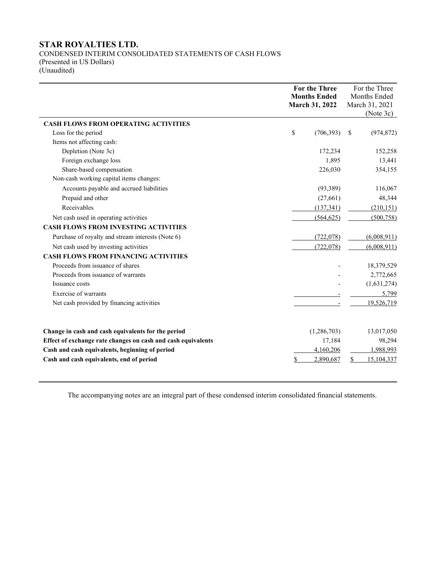# **STAR ROYALTIES LTD.**

CONDENSED INTERIM CONSOLIDATED STATEMENTS OF CASH FLOWS (Presented in US Dollars) (Unaudited)

|                                                              |    | <b>For the Three</b> |   | For the Three  |
|--------------------------------------------------------------|----|----------------------|---|----------------|
|                                                              |    | <b>Months Ended</b>  |   | Months Ended   |
|                                                              |    | March 31, 2022       |   | March 31, 2021 |
|                                                              |    |                      |   | (Note 3c)      |
| <b>CASH FLOWS FROM OPERATING ACTIVITIES</b>                  |    |                      |   |                |
| Loss for the period                                          | \$ | (706,393)            | S | (974, 872)     |
| Items not affecting cash:                                    |    |                      |   |                |
| Depletion (Note 3c)                                          |    | 172,234              |   | 152,258        |
| Foreign exchange loss                                        |    | 1,895                |   | 13,441         |
| Share-based compensation                                     |    | 226,030              |   | 354,155        |
| Non-cash working capital items changes:                      |    |                      |   |                |
| Accounts payable and accrued liabilities                     |    | (93, 389)            |   | 116,067        |
| Prepaid and other                                            |    | (27,661)             |   | 48,344         |
| Receivables                                                  |    | (137, 341)           |   | (210, 151)     |
| Net cash used in operating activities                        |    | (564, 625)           |   | (500, 758)     |
| <b>CASH FLOWS FROM INVESTING ACTIVITIES</b>                  |    |                      |   |                |
| Purchase of royalty and stream interests (Note 6)            |    | (722,078)            |   | (6,008,911)    |
| Net cash used by investing activities                        |    | (722,078)            |   | (6,008,911)    |
| <b>CASH FLOWS FROM FINANCING ACTIVITIES</b>                  |    |                      |   |                |
| Proceeds from issuance of shares                             |    |                      |   | 18,379,529     |
| Proceeds from issuance of warrants                           |    |                      |   | 2,772,665      |
| Issuance costs                                               |    |                      |   | (1,631,274)    |
| Exercise of warrants                                         |    |                      |   | 5.799          |
| Net cash provided by financing activities                    |    |                      |   | 19,526,719     |
|                                                              |    |                      |   |                |
| Change in cash and cash equivalents for the period           |    | (1,286,703)          |   | 13,017,050     |
| Effect of exchange rate changes on cash and cash equivalents |    | 17,184               |   | 98,294         |
| Cash and cash equivalents, beginning of period               |    | 4,160,206            |   | 1,988,993      |
| Cash and cash equivalents, end of period                     | S  | 2,890,687            | S | 15,104,337     |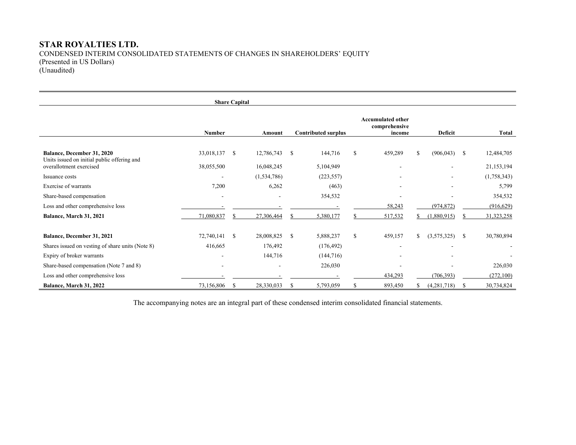# **STAR ROYALTIES LTD.**  CONDENSED INTERIM CONSOLIDATED STATEMENTS OF CHANGES IN SHAREHOLDERS' EQUITY (Presented in US Dollars) (Unaudited)

|                                                                                  |                          | <b>Share Capital</b> |               |               |                            |    |                                                     |    |             |               |              |
|----------------------------------------------------------------------------------|--------------------------|----------------------|---------------|---------------|----------------------------|----|-----------------------------------------------------|----|-------------|---------------|--------------|
|                                                                                  | <b>Number</b>            |                      | Amount        |               | <b>Contributed surplus</b> |    | <b>Accumulated other</b><br>comprehensive<br>income |    | Deficit     |               | Total        |
| <b>Balance, December 31, 2020</b><br>Units issued on initial public offering and | 33,018,137               | <sup>\$</sup>        | 12,786,743    | <sup>\$</sup> | 144,716                    | \$ | 459,289                                             | \$ | (906, 043)  | <sup>\$</sup> | 12,484,705   |
| overallotment exercised                                                          | 38,055,500               |                      | 16,048,245    |               | 5,104,949                  |    |                                                     |    |             |               | 21,153,194   |
| Issuance costs                                                                   | $\overline{\phantom{a}}$ |                      | (1, 534, 786) |               | (223, 557)                 |    |                                                     |    |             |               | (1,758,343)  |
| Exercise of warrants                                                             | 7,200                    |                      | 6,262         |               | (463)                      |    |                                                     |    |             |               | 5,799        |
| Share-based compensation                                                         |                          |                      |               |               | 354,532                    |    |                                                     |    |             |               | 354,532      |
| Loss and other comprehensive loss                                                |                          |                      |               |               |                            |    | 58,243                                              |    | (974, 872)  |               | (916, 629)   |
| Balance, March 31, 2021                                                          | 71,080,837               | S                    | 27,306,464    |               | 5,380,177                  |    | 517,532                                             | S. | (1,880,915) | S             | 31, 323, 258 |
| Balance, December 31, 2021                                                       | 72,740,141               | - \$                 | 28,008,825    | -S            | 5,888,237                  | \$ | 459,157                                             | \$ | (3,575,325) | <sup>\$</sup> | 30,780,894   |
| Shares issued on vesting of share units (Note 8)                                 | 416,665                  |                      | 176,492       |               | (176, 492)                 |    |                                                     |    |             |               |              |
| Expiry of broker warrants                                                        |                          |                      | 144,716       |               | (144, 716)                 |    |                                                     |    |             |               |              |
| Share-based compensation (Note 7 and 8)                                          |                          |                      |               |               | 226,030                    |    |                                                     |    |             |               | 226,030      |
| Loss and other comprehensive loss                                                |                          |                      |               |               |                            |    | 434,293                                             |    | (706, 393)  |               | (272,100)    |
| Balance, March 31, 2022                                                          | 73,156,806               | S                    | 28,330,033    | <b>S</b>      | 5,793,059                  | S  | 893,450                                             |    | (4,281,718) | <sup>\$</sup> | 30,734,824   |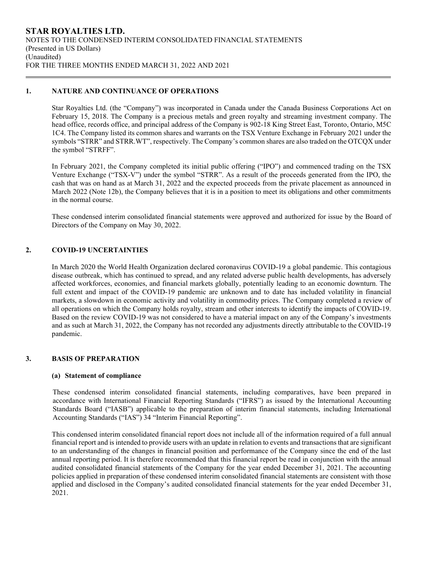## **1. NATURE AND CONTINUANCE OF OPERATIONS**

Star Royalties Ltd. (the "Company") was incorporated in Canada under the Canada Business Corporations Act on February 15, 2018. The Company is a precious metals and green royalty and streaming investment company. The head office, records office, and principal address of the Company is 902-18 King Street East, Toronto, Ontario, M5C 1C4. The Company listed its common shares and warrants on the TSX Venture Exchange in February 2021 under the symbols "STRR" and STRR.WT", respectively. The Company's common shares are also traded on the OTCQX under the symbol "STRFF".

In February 2021, the Company completed its initial public offering ("IPO") and commenced trading on the TSX Venture Exchange ("TSX-V") under the symbol "STRR". As a result of the proceeds generated from the IPO, the cash that was on hand as at March 31, 2022 and the expected proceeds from the private placement as announced in March 2022 (Note 12b), the Company believes that it is in a position to meet its obligations and other commitments in the normal course.

These condensed interim consolidated financial statements were approved and authorized for issue by the Board of Directors of the Company on May 30, 2022.

# **2. COVID-19 UNCERTAINTIES**

In March 2020 the World Health Organization declared coronavirus COVID-19 a global pandemic. This contagious disease outbreak, which has continued to spread, and any related adverse public health developments, has adversely affected workforces, economies, and financial markets globally, potentially leading to an economic downturn. The full extent and impact of the COVID-19 pandemic are unknown and to date has included volatility in financial markets, a slowdown in economic activity and volatility in commodity prices. The Company completed a review of all operations on which the Company holds royalty, stream and other interests to identify the impacts of COVID-19. Based on the review COVID-19 was not considered to have a material impact on any of the Company's investments and as such at March 31, 2022, the Company has not recorded any adjustments directly attributable to the COVID-19 pandemic.

# **3. BASIS OF PREPARATION**

#### **(a) Statement of compliance**

These condensed interim consolidated financial statements, including comparatives, have been prepared in accordance with International Financial Reporting Standards ("IFRS") as issued by the International Accounting Standards Board ("IASB") applicable to the preparation of interim financial statements, including International Accounting Standards ("IAS") 34 "Interim Financial Reporting".

This condensed interim consolidated financial report does not include all of the information required of a full annual financial report and is intended to provide users with an update in relation to events and transactions that are significant to an understanding of the changes in financial position and performance of the Company since the end of the last annual reporting period. It is therefore recommended that this financial report be read in conjunction with the annual audited consolidated financial statements of the Company for the year ended December 31, 2021. The accounting policies applied in preparation of these condensed interim consolidated financial statements are consistent with those applied and disclosed in the Company's audited consolidated financial statements for the year ended December 31, 2021.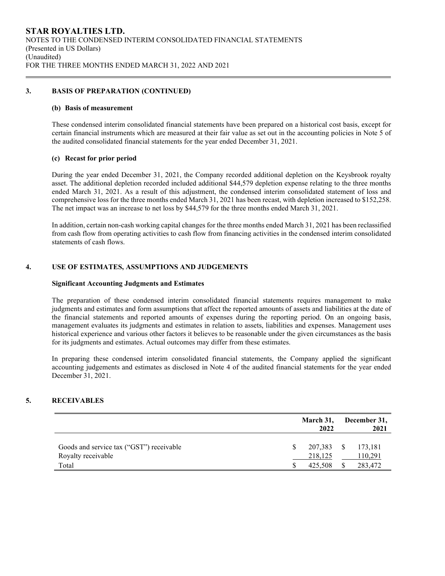### **3. BASIS OF PREPARATION (CONTINUED)**

#### **(b) Basis of measurement**

These condensed interim consolidated financial statements have been prepared on a historical cost basis, except for certain financial instruments which are measured at their fair value as set out in the accounting policies in Note 5 of the audited consolidated financial statements for the year ended December 31, 2021.

### **(c) Recast for prior period**

During the year ended December 31, 2021, the Company recorded additional depletion on the Keysbrook royalty asset. The additional depletion recorded included additional \$44,579 depletion expense relating to the three months ended March 31, 2021. As a result of this adjustment, the condensed interim consolidated statement of loss and comprehensive loss for the three months ended March 31, 2021 has been recast, with depletion increased to \$152,258. The net impact was an increase to net loss by \$44,579 for the three months ended March 31, 2021.

In addition, certain non-cash working capital changes for the three months ended March 31, 2021 has been reclassified from cash flow from operating activities to cash flow from financing activities in the condensed interim consolidated statements of cash flows.

#### **4. USE OF ESTIMATES, ASSUMPTIONS AND JUDGEMENTS**

#### **Significant Accounting Judgments and Estimates**

The preparation of these condensed interim consolidated financial statements requires management to make judgments and estimates and form assumptions that affect the reported amounts of assets and liabilities at the date of the financial statements and reported amounts of expenses during the reporting period. On an ongoing basis, management evaluates its judgments and estimates in relation to assets, liabilities and expenses. Management uses historical experience and various other factors it believes to be reasonable under the given circumstances as the basis for its judgments and estimates. Actual outcomes may differ from these estimates.

In preparing these condensed interim consolidated financial statements, the Company applied the significant accounting judgements and estimates as disclosed in Note 4 of the audited financial statements for the year ended December 31, 2021.

# **5. RECEIVABLES**

|                                                                | March 31,<br>2022     | December 31,<br>2021 |
|----------------------------------------------------------------|-----------------------|----------------------|
| Goods and service tax ("GST") receivable<br>Royalty receivable | 207,383 \$<br>218,125 | 173,181<br>110,291   |
| Total                                                          | 425,508               | 283,472              |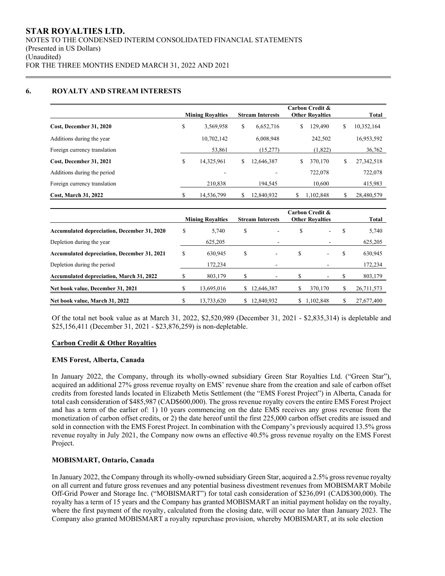## **6. ROYALTY AND STREAM INTERESTS**

|                              |    | <b>Mining Royalties</b> | <b>Stream Interests</b> |    | Carbon Credit &<br><b>Other Rovalties</b> |    | Total      |
|------------------------------|----|-------------------------|-------------------------|----|-------------------------------------------|----|------------|
| Cost, December 31, 2020      | \$ | 3,569,958               | \$<br>6,652,716         | \$ | 129,490                                   | \$ | 10,352,164 |
| Additions during the year    |    | 10,702,142              | 6,008,948               |    | 242,502                                   |    | 16,953,592 |
| Foreign currency translation |    | 53,861                  | (15,277)                |    | (1,822)                                   |    | 36,762     |
| Cost, December 31, 2021      | \$ | 14,325,961              | \$<br>12,646,387        | \$ | 370,170                                   | S  | 27,342,518 |
| Additions during the period  |    | ٠                       |                         |    | 722,078                                   |    | 722,078    |
| Foreign currency translation |    | 210,838                 | 194.545                 |    | 10,600                                    |    | 415,983    |
| <b>Cost. March 31, 2022</b>  | S  | 14,536,799              | 12,840,932              | S  | 1.102.848                                 |    | 28,480,579 |

|                                                    |   | <b>Mining Royalties</b> |    | <b>Stream Interests</b> | Carbon Credit &<br><b>Other Rovalties</b> |           |   | Total      |
|----------------------------------------------------|---|-------------------------|----|-------------------------|-------------------------------------------|-----------|---|------------|
| <b>Accumulated depreciation, December 31, 2020</b> | S | 5,740                   | \$ | ٠                       | \$                                        | ۰.        | S | 5,740      |
| Depletion during the year                          |   | 625,205                 |    | -                       |                                           |           |   | 625,205    |
| <b>Accumulated depreciation, December 31, 2021</b> | S | 630.945                 | \$ |                         | \$                                        | ٠         | S | 630,945    |
| Depletion during the period                        |   | 172.234                 |    |                         |                                           |           |   | 172,234    |
| <b>Accumulated depreciation, March 31, 2022</b>    |   | 803,179                 | \$ |                         | S                                         |           | S | 803,179    |
| Net book value, December 31, 2021                  |   | 13,695,016              | S. | 12,646,387              | S                                         | 370,170   |   | 26,711,573 |
| Net book value, March 31, 2022                     |   | 13.733.620              | S. | 12,840,932              | S.                                        | 1.102.848 |   | 27,677,400 |

Of the total net book value as at March 31, 2022, \$2,520,989 (December 31, 2021 - \$2,835,314) is depletable and \$25,156,411 (December 31, 2021 - \$23,876,259) is non-depletable.

#### **Carbon Credit & Other Royalties**

#### **EMS Forest, Alberta, Canada**

In January 2022, the Company, through its wholly-owned subsidiary Green Star Royalties Ltd. ("Green Star"), acquired an additional 27% gross revenue royalty on EMS' revenue share from the creation and sale of carbon offset credits from forested lands located in Elizabeth Metis Settlement (the "EMS Forest Project") in Alberta, Canada for total cash consideration of \$485,987 (CAD\$600,000). The gross revenue royalty covers the entire EMS Forest Project and has a term of the earlier of: 1) 10 years commencing on the date EMS receives any gross revenue from the monetization of carbon offset credits, or 2) the date hereof until the first 225,000 carbon offset credits are issued and sold in connection with the EMS Forest Project. In combination with the Company's previously acquired 13.5% gross revenue royalty in July 2021, the Company now owns an effective 40.5% gross revenue royalty on the EMS Forest Project.

## **MOBISMART, Ontario, Canada**

In January 2022, the Company through its wholly-owned subsidiary Green Star, acquired a 2.5% gross revenue royalty on all current and future gross revenues and any potential business divestment revenues from MOBISMART Mobile Off-Grid Power and Storage Inc. ("MOBISMART") for total cash consideration of \$236,091 (CAD\$300,000). The royalty has a term of 15 years and the Company has granted MOBISMART an initial payment holiday on the royalty, where the first payment of the royalty, calculated from the closing date, will occur no later than January 2023. The Company also granted MOBISMART a royalty repurchase provision, whereby MOBISMART, at its sole election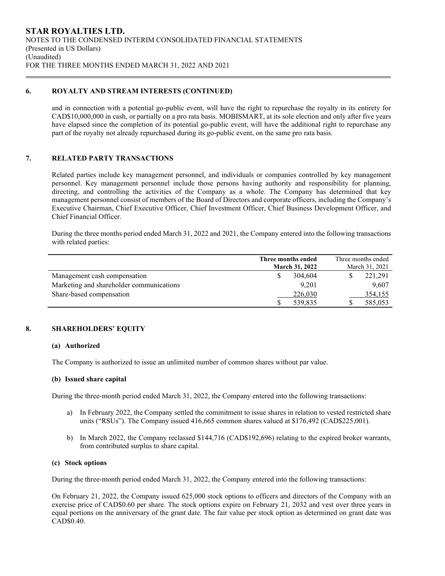### **6. ROYALTY AND STREAM INTERESTS (CONTINUED)**

and in connection with a potential go-public event, will have the right to repurchase the royalty in its entirety for CAD\$10,000,000 in cash, or partially on a pro rata basis. MOBISMART, at its sole election and only after five years have elapsed since the completion of its potential go-public event, will have the additional right to repurchase any part of the royalty not already repurchased during its go-public event, on the same pro rata basis.

# **7. RELATED PARTY TRANSACTIONS**

Related parties include key management personnel, and individuals or companies controlled by key management personnel. Key management personnel include those persons having authority and responsibility for planning, directing, and controlling the activities of the Company as a whole. The Company has determined that key management personnel consist of members of the Board of Directors and corporate officers, including the Company's Executive Chairman, Chief Executive Officer, Chief Investment Officer, Chief Business Development Officer, and Chief Financial Officer.

During the three months period ended March 31, 2022 and 2021, the Company entered into the following transactions with related parties:

|                                          | Three months ended    | Three months ended |
|------------------------------------------|-----------------------|--------------------|
|                                          | <b>March 31, 2022</b> | March 31, 2021     |
| Management cash compensation             | 304,604               | 221,291            |
| Marketing and shareholder communications | 9.201                 | 9,607              |
| Share-based compensation                 | 226,030               | 354,155            |
|                                          | 539,835               | 585,053            |

# **8. SHAREHOLDERS' EQUITY**

# **(a) Authorized**

The Company is authorized to issue an unlimited number of common shares without par value.

#### **(b) Issued share capital**

During the three-month period ended March 31, 2022, the Company entered into the following transactions:

- a) In February 2022, the Company settled the commitment to issue shares in relation to vested restricted share units ("RSUs"). The Company issued 416,665 common shares valued at \$176,492 (CAD\$225,001).
- b) In March 2022, the Company reclassed \$144,716 (CAD\$192,696) relating to the expired broker warrants, from contributed surplus to share capital.

# **(c) Stock options**

During the three-month period ended March 31, 2022, the Company entered into the following transactions:

On February 21, 2022, the Company issued 625,000 stock options to officers and directors of the Company with an exercise price of CAD\$0.60 per share. The stock options expire on February 21, 2032 and vest over three years in equal portions on the anniversary of the grant date. The fair value per stock option as determined on grant date was CAD\$0.40.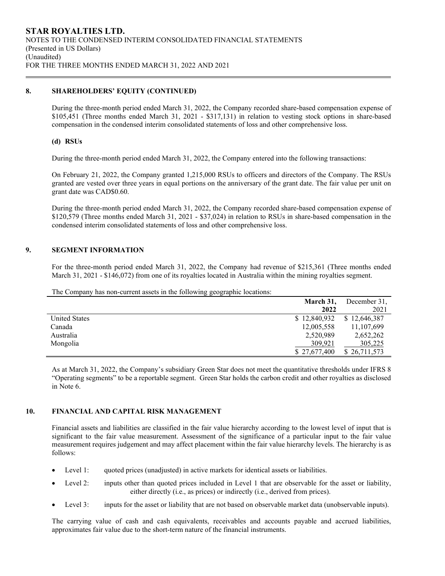## **8. SHAREHOLDERS' EQUITY (CONTINUED)**

During the three-month period ended March 31, 2022, the Company recorded share-based compensation expense of \$105,451 (Three months ended March 31, 2021 - \$317,131) in relation to vesting stock options in share-based compensation in the condensed interim consolidated statements of loss and other comprehensive loss.

#### **(d) RSUs**

During the three-month period ended March 31, 2022, the Company entered into the following transactions:

On February 21, 2022, the Company granted 1,215,000 RSUs to officers and directors of the Company. The RSUs granted are vested over three years in equal portions on the anniversary of the grant date. The fair value per unit on grant date was CAD\$0.60.

During the three-month period ended March 31, 2022, the Company recorded share-based compensation expense of \$120,579 (Three months ended March 31, 2021 - \$37,024) in relation to RSUs in share-based compensation in the condensed interim consolidated statements of loss and other comprehensive loss.

# **9. SEGMENT INFORMATION**

For the three-month period ended March 31, 2022, the Company had revenue of \$215,361 (Three months ended March 31, 2021 - \$146,072) from one of its royalties located in Australia within the mining royalties segment.

| The Company has non-current assets in the following geographic locations: |  |  |  |  |  |  |
|---------------------------------------------------------------------------|--|--|--|--|--|--|
|---------------------------------------------------------------------------|--|--|--|--|--|--|

|                      | March 31,    | December 31, |
|----------------------|--------------|--------------|
|                      | 2022         | 2021         |
| <b>United States</b> | \$12,840,932 | \$12,646,387 |
| Canada               | 12,005,558   | 11,107,699   |
| Australia            | 2,520,989    | 2,652,262    |
| Mongolia             | 309,921      | 305,225      |
|                      | \$27,677,400 | \$26,711,573 |

As at March 31, 2022, the Company's subsidiary Green Star does not meet the quantitative thresholds under IFRS 8 "Operating segments" to be a reportable segment. Green Star holds the carbon credit and other royalties as disclosed in Note 6.

#### **10. FINANCIAL AND CAPITAL RISK MANAGEMENT**

Financial assets and liabilities are classified in the fair value hierarchy according to the lowest level of input that is significant to the fair value measurement. Assessment of the significance of a particular input to the fair value measurement requires judgement and may affect placement within the fair value hierarchy levels. The hierarchy is as follows:

- Level 1: quoted prices (unadjusted) in active markets for identical assets or liabilities.
- Level 2: inputs other than quoted prices included in Level 1 that are observable for the asset or liability, either directly (i.e., as prices) or indirectly (i.e., derived from prices).
- Level 3: inputs for the asset or liability that are not based on observable market data (unobservable inputs).

The carrying value of cash and cash equivalents, receivables and accounts payable and accrued liabilities, approximates fair value due to the short-term nature of the financial instruments.